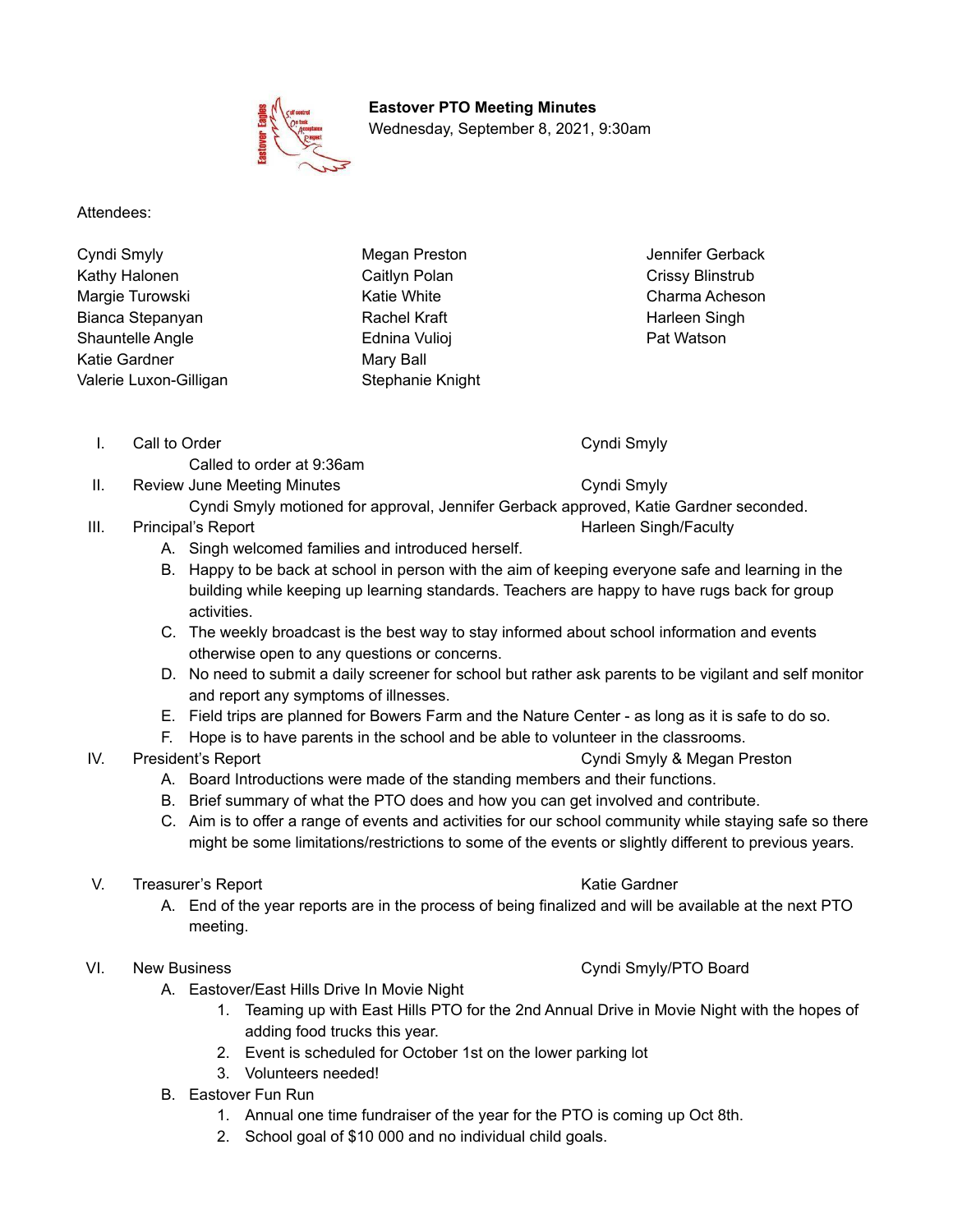

**Eastover PTO Meeting Minutes** Wednesday, September 8, 2021, 9:30am

Attendees:

Cyndi Smyly Megan Preston Jennifer Gerback Kathy Halonen Margie Turowski Bianca Stepanyan Shauntelle Angle Katie Gardner Valerie Luxon-Gilligan

Caitlyn Polan Katie White Rachel Kraft Ednina Vulioj Mary Ball Stephanie Knight

I. Call to Order Cyndi Smyly

Called to order at 9:36am

II. Review June Meeting Minutes **Cyndi Smyly** 

Crissy Blinstrub Charma Acheson Harleen Singh Pat Watson

- Cyndi Smyly motioned for approval, Jennifer Gerback approved, Katie Gardner seconded.
- III. Principal's Report **Harleen Singh/Faculty Harleen Singh/Faculty** 
	- A. Singh welcomed families and introduced herself.
	- B. Happy to be back at school in person with the aim of keeping everyone safe and learning in the building while keeping up learning standards. Teachers are happy to have rugs back for group activities.
	- C. The weekly broadcast is the best way to stay informed about school information and events otherwise open to any questions or concerns.
	- D. No need to submit a daily screener for school but rather ask parents to be vigilant and self monitor and report any symptoms of illnesses.
	- E. Field trips are planned for Bowers Farm and the Nature Center as long as it is safe to do so.
	- F. Hope is to have parents in the school and be able to volunteer in the classrooms.
- IV. President's Report Cyndi Smyly & Megan Preston
	- A. Board Introductions were made of the standing members and their functions.
	- B. Brief summary of what the PTO does and how you can get involved and contribute.
	- C. Aim is to offer a range of events and activities for our school community while staying safe so there might be some limitations/restrictions to some of the events or slightly different to previous years.
- V. Treasurer's Report New York Care and The Katie Gardner
	- A. End of the year reports are in the process of being finalized and will be available at the next PTO meeting.
- VI. New Business **Cyndi Smyly/PTO Board** Number 2012 12:30 and Cyndi Smyly/PTO Board
	- A. Eastover/East Hills Drive In Movie Night
		- 1. Teaming up with East Hills PTO for the 2nd Annual Drive in Movie Night with the hopes of adding food trucks this year.
		- 2. Event is scheduled for October 1st on the lower parking lot
		- 3. Volunteers needed!
	- B. Eastover Fun Run
		- 1. Annual one time fundraiser of the year for the PTO is coming up Oct 8th.
		- 2. School goal of \$10 000 and no individual child goals.